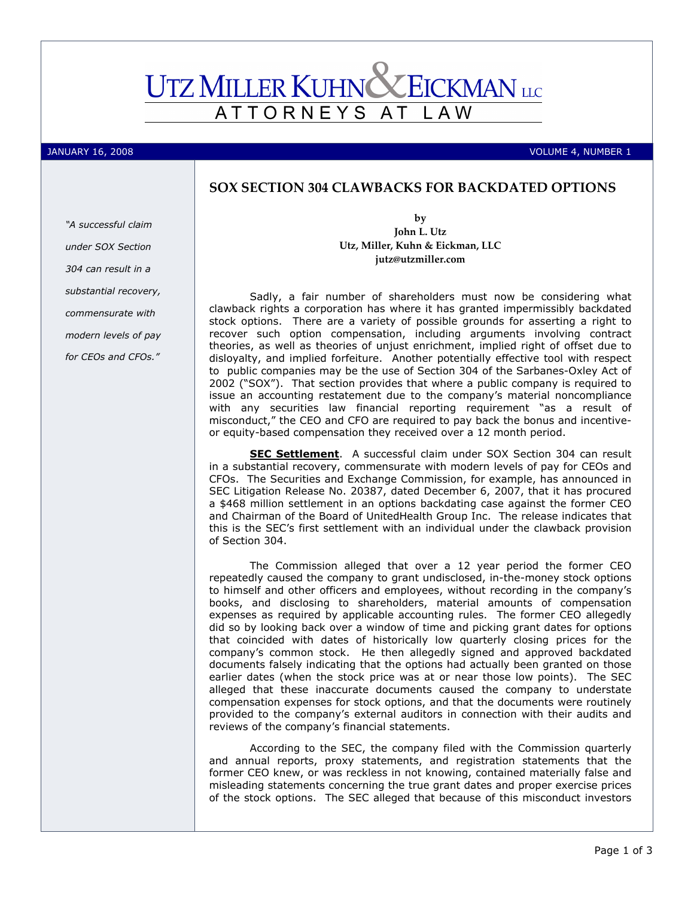# **UTZ MILLER KUHNC EICKMAN** LLC ATTORNEYS AT L A W

JANUARY 16, 2008 VOLUME 4, NUMBER 1

## SOX SECTION 304 CLAWBACKS FOR BACKDATED OPTIONS

"A successful claim under SOX Section 304 can result in a substantial recovery, commensurate with modern levels of pay for CEOs and CFOs."

by John L. Utz Utz, Miller, Kuhn & Eickman, LLC jutz@utzmiller.com

Sadly, a fair number of shareholders must now be considering what clawback rights a corporation has where it has granted impermissibly backdated stock options. There are a variety of possible grounds for asserting a right to recover such option compensation, including arguments involving contract theories, as well as theories of unjust enrichment, implied right of offset due to disloyalty, and implied forfeiture. Another potentially effective tool with respect to public companies may be the use of Section 304 of the Sarbanes-Oxley Act of 2002 ("SOX"). That section provides that where a public company is required to issue an accounting restatement due to the company's material noncompliance with any securities law financial reporting requirement "as a result of misconduct," the CEO and CFO are required to pay back the bonus and incentiveor equity-based compensation they received over a 12 month period.

SEC Settlement. A successful claim under SOX Section 304 can result in a substantial recovery, commensurate with modern levels of pay for CEOs and CFOs. The Securities and Exchange Commission, for example, has announced in SEC Litigation Release No. 20387, dated December 6, 2007, that it has procured a \$468 million settlement in an options backdating case against the former CEO and Chairman of the Board of UnitedHealth Group Inc. The release indicates that this is the SEC's first settlement with an individual under the clawback provision of Section 304.

The Commission alleged that over a 12 year period the former CEO repeatedly caused the company to grant undisclosed, in-the-money stock options to himself and other officers and employees, without recording in the company's books, and disclosing to shareholders, material amounts of compensation expenses as required by applicable accounting rules. The former CEO allegedly did so by looking back over a window of time and picking grant dates for options that coincided with dates of historically low quarterly closing prices for the company's common stock. He then allegedly signed and approved backdated documents falsely indicating that the options had actually been granted on those earlier dates (when the stock price was at or near those low points). The SEC alleged that these inaccurate documents caused the company to understate compensation expenses for stock options, and that the documents were routinely provided to the company's external auditors in connection with their audits and reviews of the company's financial statements.

According to the SEC, the company filed with the Commission quarterly and annual reports, proxy statements, and registration statements that the former CEO knew, or was reckless in not knowing, contained materially false and misleading statements concerning the true grant dates and proper exercise prices of the stock options. The SEC alleged that because of this misconduct investors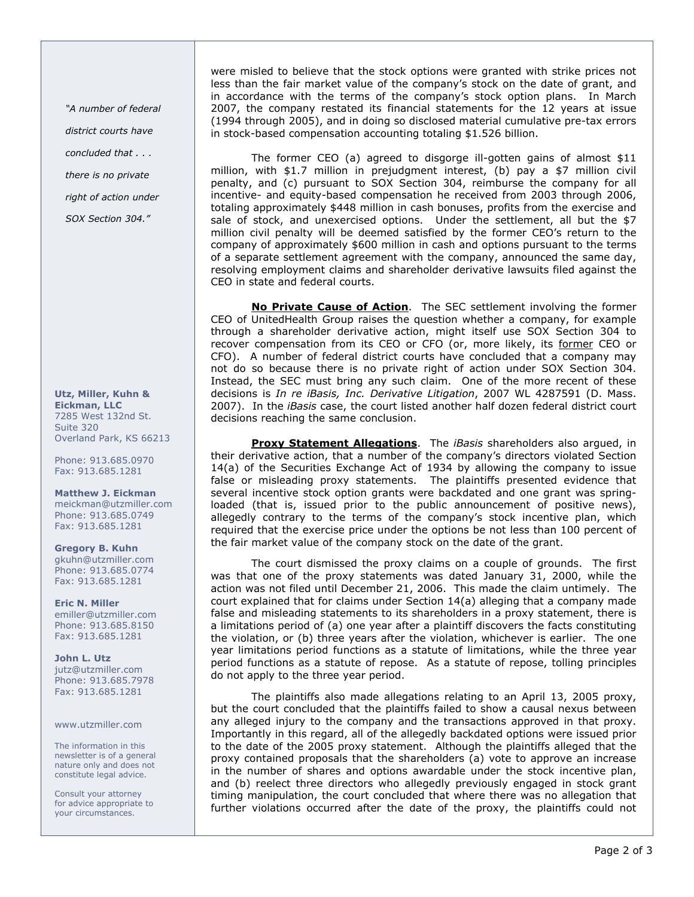"A number of federal district courts have concluded that . . .

there is no private

right of action under

SOX Section 304."

Utz, Miller, Kuhn & Eickman, LLC 7285 West 132nd St. Suite 320 Overland Park, KS 66213

Phone: 913.685.0970 Fax: 913.685.1281

Matthew J. Eickman meickman@utzmiller.com Phone: 913.685.0749 Fax: 913.685.1281

Gregory B. Kuhn gkuhn@utzmiller.com Phone: 913.685.0774 Fax: 913.685.1281

Eric N. Miller emiller@utzmiller.com Phone: 913.685.8150 Fax: 913.685.1281

John L. Utz jutz@utzmiller.com Phone: 913.685.7978 Fax: 913.685.1281

www.utzmiller.com

The information in this newsletter is of a general nature only and does not constitute legal advice.

Consult your attorney for advice appropriate to your circumstances.

were misled to believe that the stock options were granted with strike prices not less than the fair market value of the company's stock on the date of grant, and in accordance with the terms of the company's stock option plans. In March 2007, the company restated its financial statements for the 12 years at issue (1994 through 2005), and in doing so disclosed material cumulative pre-tax errors in stock-based compensation accounting totaling \$1.526 billion.

The former CEO (a) agreed to disgorge ill-gotten gains of almost \$11 million, with \$1.7 million in prejudgment interest, (b) pay a \$7 million civil penalty, and (c) pursuant to SOX Section 304, reimburse the company for all incentive- and equity-based compensation he received from 2003 through 2006, totaling approximately \$448 million in cash bonuses, profits from the exercise and sale of stock, and unexercised options. Under the settlement, all but the \$7 million civil penalty will be deemed satisfied by the former CEO's return to the company of approximately \$600 million in cash and options pursuant to the terms of a separate settlement agreement with the company, announced the same day, resolving employment claims and shareholder derivative lawsuits filed against the CEO in state and federal courts.

No Private Cause of Action. The SEC settlement involving the former CEO of UnitedHealth Group raises the question whether a company, for example through a shareholder derivative action, might itself use SOX Section 304 to recover compensation from its CEO or CFO (or, more likely, its former CEO or CFO). A number of federal district courts have concluded that a company may not do so because there is no private right of action under SOX Section 304. Instead, the SEC must bring any such claim. One of the more recent of these decisions is In re iBasis, Inc. Derivative Litigation, 2007 WL 4287591 (D. Mass. 2007). In the *iBasis* case, the court listed another half dozen federal district court decisions reaching the same conclusion.

Proxy Statement Allegations. The *iBasis* shareholders also argued, in their derivative action, that a number of the company's directors violated Section 14(a) of the Securities Exchange Act of 1934 by allowing the company to issue false or misleading proxy statements. The plaintiffs presented evidence that several incentive stock option grants were backdated and one grant was springloaded (that is, issued prior to the public announcement of positive news), allegedly contrary to the terms of the company's stock incentive plan, which required that the exercise price under the options be not less than 100 percent of the fair market value of the company stock on the date of the grant.

The court dismissed the proxy claims on a couple of grounds. The first was that one of the proxy statements was dated January 31, 2000, while the action was not filed until December 21, 2006. This made the claim untimely. The court explained that for claims under Section 14(a) alleging that a company made false and misleading statements to its shareholders in a proxy statement, there is a limitations period of (a) one year after a plaintiff discovers the facts constituting the violation, or (b) three years after the violation, whichever is earlier. The one year limitations period functions as a statute of limitations, while the three year period functions as a statute of repose. As a statute of repose, tolling principles do not apply to the three year period.

The plaintiffs also made allegations relating to an April 13, 2005 proxy, but the court concluded that the plaintiffs failed to show a causal nexus between any alleged injury to the company and the transactions approved in that proxy. Importantly in this regard, all of the allegedly backdated options were issued prior to the date of the 2005 proxy statement. Although the plaintiffs alleged that the proxy contained proposals that the shareholders (a) vote to approve an increase in the number of shares and options awardable under the stock incentive plan, and (b) reelect three directors who allegedly previously engaged in stock grant timing manipulation, the court concluded that where there was no allegation that further violations occurred after the date of the proxy, the plaintiffs could not